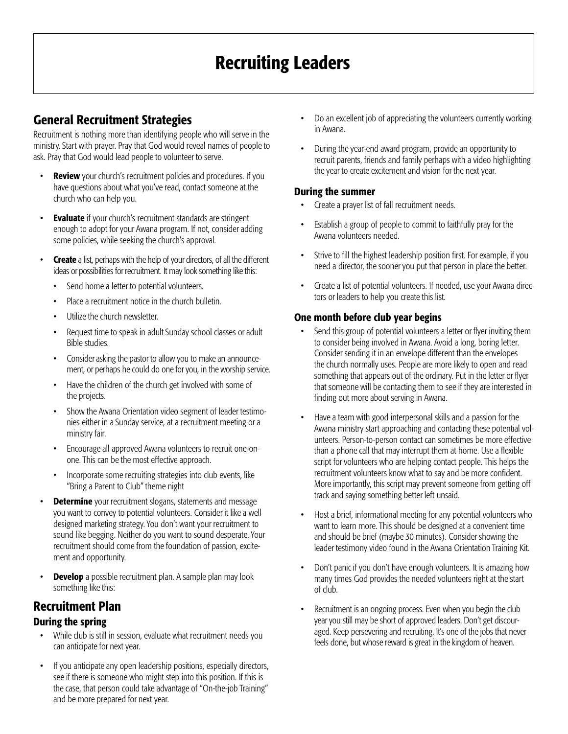# Recruiting Leaders

## General Recruitment Strategies

Recruitment is nothing more than identifying people who will serve in the ministry. Start with prayer. Pray that God would reveal names of people to ask. Pray that God would lead people to volunteer to serve.

- **Review** your church's recruitment policies and procedures. If you have questions about what you've read, contact someone at the church who can help you.
- Evaluate if your church's recruitment standards are stringent enough to adopt for your Awana program. If not, consider adding some policies, while seeking the church's approval.
- **Create** a list, perhaps with the help of your directors, of all the different ideas or possibilities for recruitment. It may look something like this:
	- Send home a letter to potential volunteers.
	- Place a recruitment notice in the church bulletin.
	- Utilize the church newsletter
	- Request time to speak in adult Sunday school classes or adult Bible studies.
	- Consider asking the pastor to allow you to make an announcement, or perhaps he could do one for you, in the worship service.
	- Have the children of the church get involved with some of the projects.
	- Show the Awana Orientation video segment of leader testimonies either in a Sunday service, at a recruitment meeting or a ministry fair.
	- Encourage all approved Awana volunteers to recruit one-onone. This can be the most effective approach.
	- Incorporate some recruiting strategies into club events, like "Bring a Parent to Club" theme night
- **Determine** your recruitment slogans, statements and message you want to convey to potential volunteers. Consider it like a well designed marketing strategy. You don't want your recruitment to sound like begging. Neither do you want to sound desperate. Your recruitment should come from the foundation of passion, excitement and opportunity.
- **Develop** a possible recruitment plan. A sample plan may look something like this:

## Recruitment Plan

### During the spring

- While club is still in session, evaluate what recruitment needs you can anticipate for next year.
- If you anticipate any open leadership positions, especially directors, see if there is someone who might step into this position. If this is the case, that person could take advantage of "On-the-job Training" and be more prepared for next year.
- Do an excellent job of appreciating the volunteers currently working in Awana.
- During the year-end award program, provide an opportunity to recruit parents, friends and family perhaps with a video highlighting the year to create excitement and vision for the next year.

#### During the summer

- Create a prayer list of fall recruitment needs.
- Establish a group of people to commit to faithfully pray for the Awana volunteers needed.
- Strive to fill the highest leadership position first. For example, if you need a director, the sooner you put that person in place the better.
- Create a list of potential volunteers. If needed, use your Awana directors or leaders to help you create this list.

### One month before club year begins

- Send this group of potential volunteers a letter or flyer inviting them to consider being involved in Awana. Avoid a long, boring letter. Consider sending it in an envelope different than the envelopes the church normally uses. People are more likely to open and read something that appears out of the ordinary. Put in the letter or flyer that someone will be contacting them to see if they are interested in finding out more about serving in Awana.
- Have a team with good interpersonal skills and a passion for the Awana ministry start approaching and contacting these potential volunteers. Person-to-person contact can sometimes be more effective than a phone call that may interrupt them at home. Use a flexible script for volunteers who are helping contact people. This helps the recruitment volunteers know what to say and be more confident. More importantly, this script may prevent someone from getting off track and saying something better left unsaid.
- Host a brief, informational meeting for any potential volunteers who want to learn more. This should be designed at a convenient time and should be brief (maybe 30 minutes). Consider showing the leader testimony video found in the Awana Orientation Training Kit.
- Don't panic if you don't have enough volunteers. It is amazing how many times God provides the needed volunteers right at the start of club.
- Recruitment is an ongoing process. Even when you begin the club year you still may be short of approved leaders. Don't get discouraged. Keep persevering and recruiting. It's one of the jobs that never feels done, but whose reward is great in the kingdom of heaven.